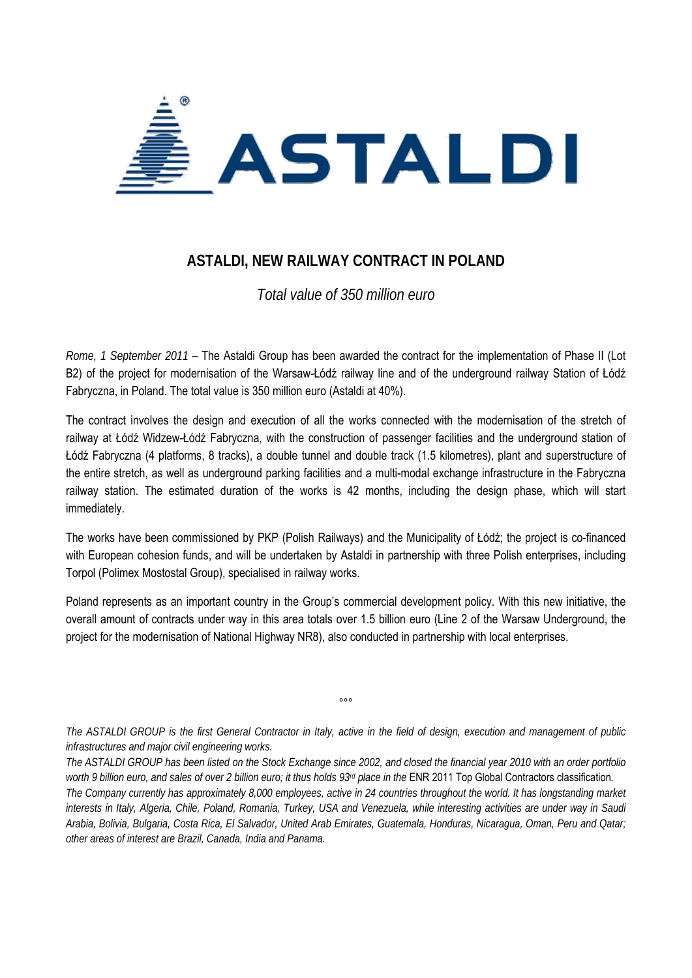

## **ASTALDI, NEW RAILWAY CONTRACT IN POLAND**

*Total value of 350 million euro* 

*Rome, 1 September 2011* – The Astaldi Group has been awarded the contract for the implementation of Phase II (Lot B2) of the project for modernisation of the Warsaw-Łódź railway line and of the underground railway Station of Łódź Fabryczna, in Poland. The total value is 350 million euro (Astaldi at 40%).

The contract involves the design and execution of all the works connected with the modernisation of the stretch of railway at Łódź Widzew-Łódź Fabryczna, with the construction of passenger facilities and the underground station of Łódź Fabryczna (4 platforms, 8 tracks), a double tunnel and double track (1.5 kilometres), plant and superstructure of the entire stretch, as well as underground parking facilities and a multi-modal exchange infrastructure in the Fabryczna railway station. The estimated duration of the works is 42 months, including the design phase, which will start immediately.

The works have been commissioned by PKP (Polish Railways) and the Municipality of Łódź; the project is co-financed with European cohesion funds, and will be undertaken by Astaldi in partnership with three Polish enterprises, including Torpol (Polimex Mostostal Group), specialised in railway works.

Poland represents as an important country in the Group's commercial development policy. With this new initiative, the overall amount of contracts under way in this area totals over 1.5 billion euro (Line 2 of the Warsaw Underground, the project for the modernisation of National Highway NR8), also conducted in partnership with local enterprises.

*The ASTALDI GROUP is the first General Contractor in Italy, active in the field of design, execution and management of public infrastructures and major civil engineering works.* 

°°°

*The ASTALDI GROUP has been listed on the Stock Exchange since 2002, and closed the financial year 2010 with an order portfolio worth 9 billion euro, and sales of over 2 billion euro; it thus holds 93rd place in the* ENR 2011 Top Global Contractors classification*. The Company currently has approximately 8,000 employees, active in 24 countries throughout the world. It has longstanding market interests in Italy, Algeria, Chile, Poland, Romania, Turkey, USA and Venezuela, while interesting activities are under way in Saudi Arabia, Bolivia, Bulgaria, Costa Rica, El Salvador, United Arab Emirates, Guatemala, Honduras, Nicaragua, Oman, Peru and Qatar; other areas of interest are Brazil, Canada, India and Panama.*